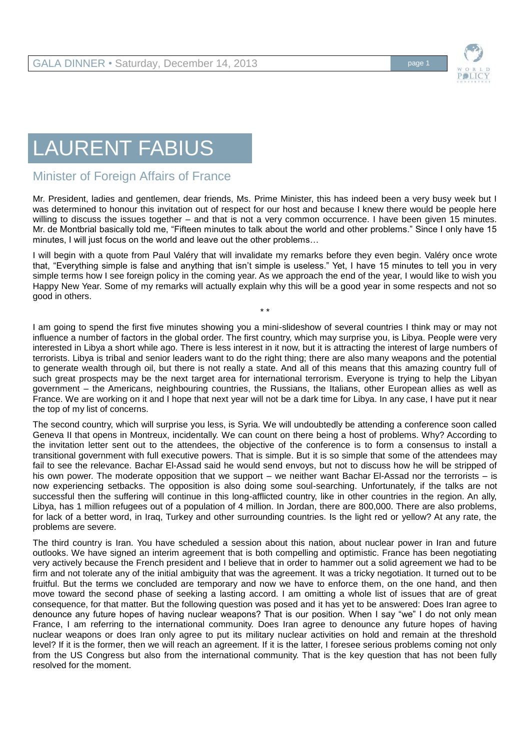

## LAURENT FABIUS

## Minister of Foreign Affairs of France

Mr. President, ladies and gentlemen, dear friends, Ms. Prime Minister, this has indeed been a very busy week but I was determined to honour this invitation out of respect for our host and because I knew there would be people here willing to discuss the issues together – and that is not a very common occurrence. I have been given 15 minutes. Mr. de Montbrial basically told me, "Fifteen minutes to talk about the world and other problems." Since I only have 15 minutes, I will just focus on the world and leave out the other problems…

I will begin with a quote from Paul Valéry that will invalidate my remarks before they even begin. Valéry once wrote that, "Everything simple is false and anything that isn't simple is useless." Yet, I have 15 minutes to tell you in very simple terms how I see foreign policy in the coming year. As we approach the end of the year, I would like to wish you Happy New Year. Some of my remarks will actually explain why this will be a good year in some respects and not so good in others.

\* \*

I am going to spend the first five minutes showing you a mini-slideshow of several countries I think may or may not influence a number of factors in the global order. The first country, which may surprise you, is Libya. People were very interested in Libya a short while ago. There is less interest in it now, but it is attracting the interest of large numbers of terrorists. Libya is tribal and senior leaders want to do the right thing; there are also many weapons and the potential to generate wealth through oil, but there is not really a state. And all of this means that this amazing country full of such great prospects may be the next target area for international terrorism. Everyone is trying to help the Libyan government – the Americans, neighbouring countries, the Russians, the Italians, other European allies as well as France. We are working on it and I hope that next year will not be a dark time for Libya. In any case, I have put it near the top of my list of concerns.

The second country, which will surprise you less, is Syria. We will undoubtedly be attending a conference soon called Geneva II that opens in Montreux, incidentally. We can count on there being a host of problems. Why? According to the invitation letter sent out to the attendees, the objective of the conference is to form a consensus to install a transitional government with full executive powers. That is simple. But it is so simple that some of the attendees may fail to see the relevance. Bachar El-Assad said he would send envoys, but not to discuss how he will be stripped of his own power. The moderate opposition that we support – we neither want Bachar El-Assad nor the terrorists – is now experiencing setbacks. The opposition is also doing some soul-searching. Unfortunately, if the talks are not successful then the suffering will continue in this long-afflicted country, like in other countries in the region. An ally, Libya, has 1 million refugees out of a population of 4 million. In Jordan, there are 800,000. There are also problems, for lack of a better word, in Iraq, Turkey and other surrounding countries. Is the light red or yellow? At any rate, the problems are severe.

The third country is Iran. You have scheduled a session about this nation, about nuclear power in Iran and future outlooks. We have signed an interim agreement that is both compelling and optimistic. France has been negotiating very actively because the French president and I believe that in order to hammer out a solid agreement we had to be firm and not tolerate any of the initial ambiguity that was the agreement. It was a tricky negotiation. It turned out to be fruitful. But the terms we concluded are temporary and now we have to enforce them, on the one hand, and then move toward the second phase of seeking a lasting accord. I am omitting a whole list of issues that are of great consequence, for that matter. But the following question was posed and it has yet to be answered: Does Iran agree to denounce any future hopes of having nuclear weapons? That is our position. When I say "we" I do not only mean France, I am referring to the international community. Does Iran agree to denounce any future hopes of having nuclear weapons or does Iran only agree to put its military nuclear activities on hold and remain at the threshold level? If it is the former, then we will reach an agreement. If it is the latter, I foresee serious problems coming not only from the US Congress but also from the international community. That is the key question that has not been fully resolved for the moment.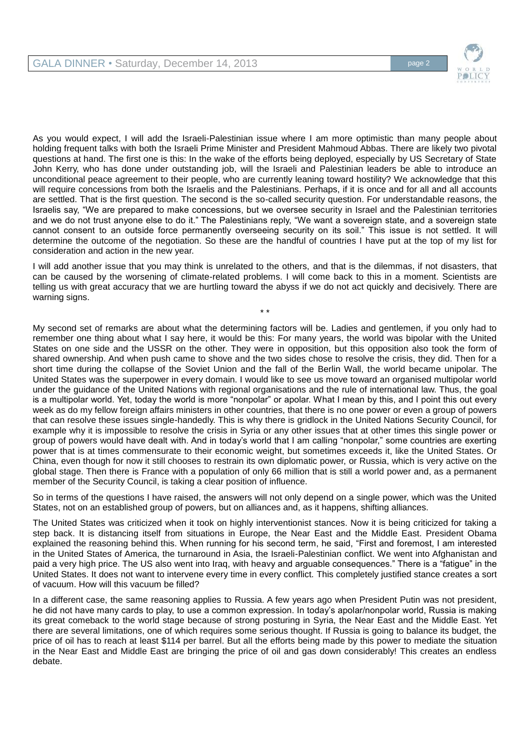

As you would expect, I will add the Israeli-Palestinian issue where I am more optimistic than many people about holding frequent talks with both the Israeli Prime Minister and President Mahmoud Abbas. There are likely two pivotal questions at hand. The first one is this: In the wake of the efforts being deployed, especially by US Secretary of State John Kerry, who has done under outstanding job, will the Israeli and Palestinian leaders be able to introduce an unconditional peace agreement to their people, who are currently leaning toward hostility? We acknowledge that this will require concessions from both the Israelis and the Palestinians. Perhaps, if it is once and for all and all accounts are settled. That is the first question. The second is the so-called security question. For understandable reasons, the Israelis say, "We are prepared to make concessions, but we oversee security in Israel and the Palestinian territories and we do not trust anyone else to do it." The Palestinians reply, "We want a sovereign state, and a sovereign state cannot consent to an outside force permanently overseeing security on its soil." This issue is not settled. It will determine the outcome of the negotiation. So these are the handful of countries I have put at the top of my list for consideration and action in the new year.

I will add another issue that you may think is unrelated to the others, and that is the dilemmas, if not disasters, that can be caused by the worsening of climate-related problems. I will come back to this in a moment. Scientists are telling us with great accuracy that we are hurtling toward the abyss if we do not act quickly and decisively. There are warning signs.

\* \*

My second set of remarks are about what the determining factors will be. Ladies and gentlemen, if you only had to remember one thing about what I say here, it would be this: For many years, the world was bipolar with the United States on one side and the USSR on the other. They were in opposition, but this opposition also took the form of shared ownership. And when push came to shove and the two sides chose to resolve the crisis, they did. Then for a short time during the collapse of the Soviet Union and the fall of the Berlin Wall, the world became unipolar. The United States was the superpower in every domain. I would like to see us move toward an organised multipolar world under the guidance of the United Nations with regional organisations and the rule of international law. Thus, the goal is a multipolar world. Yet, today the world is more "nonpolar" or apolar. What I mean by this, and I point this out every week as do my fellow foreign affairs ministers in other countries, that there is no one power or even a group of powers that can resolve these issues single-handedly. This is why there is gridlock in the United Nations Security Council, for example why it is impossible to resolve the crisis in Syria or any other issues that at other times this single power or group of powers would have dealt with. And in today's world that I am calling "nonpolar," some countries are exerting power that is at times commensurate to their economic weight, but sometimes exceeds it, like the United States. Or China, even though for now it still chooses to restrain its own diplomatic power, or Russia, which is very active on the global stage. Then there is France with a population of only 66 million that is still a world power and, as a permanent member of the Security Council, is taking a clear position of influence.

So in terms of the questions I have raised, the answers will not only depend on a single power, which was the United States, not on an established group of powers, but on alliances and, as it happens, shifting alliances.

The United States was criticized when it took on highly interventionist stances. Now it is being criticized for taking a step back. It is distancing itself from situations in Europe, the Near East and the Middle East. President Obama explained the reasoning behind this. When running for his second term, he said, "First and foremost, I am interested in the United States of America, the turnaround in Asia, the Israeli-Palestinian conflict. We went into Afghanistan and paid a very high price. The US also went into Iraq, with heavy and arguable consequences." There is a "fatigue" in the United States. It does not want to intervene every time in every conflict. This completely justified stance creates a sort of vacuum. How will this vacuum be filled?

In a different case, the same reasoning applies to Russia. A few years ago when President Putin was not president, he did not have many cards to play, to use a common expression. In today's apolar/nonpolar world, Russia is making its great comeback to the world stage because of strong posturing in Syria, the Near East and the Middle East. Yet there are several limitations, one of which requires some serious thought. If Russia is going to balance its budget, the price of oil has to reach at least \$114 per barrel. But all the efforts being made by this power to mediate the situation in the Near East and Middle East are bringing the price of oil and gas down considerably! This creates an endless debate.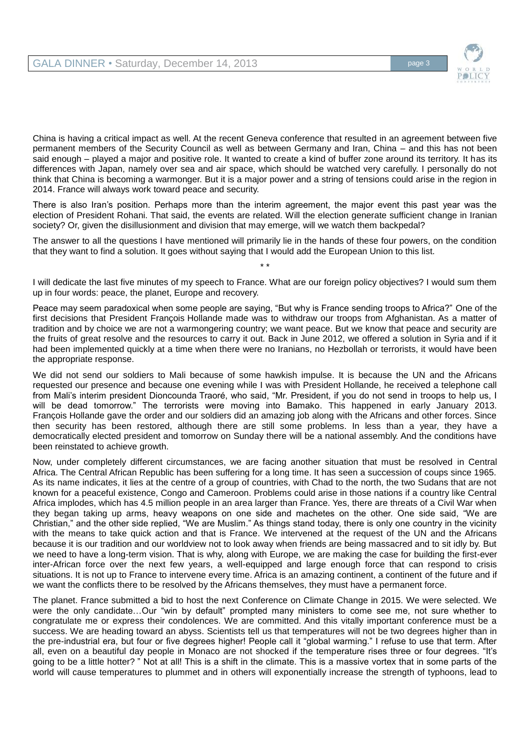

China is having a critical impact as well. At the recent Geneva conference that resulted in an agreement between five permanent members of the Security Council as well as between Germany and Iran, China – and this has not been said enough – played a major and positive role. It wanted to create a kind of buffer zone around its territory. It has its differences with Japan, namely over sea and air space, which should be watched very carefully. I personally do not think that China is becoming a warmonger. But it is a major power and a string of tensions could arise in the region in 2014. France will always work toward peace and security.

There is also Iran's position. Perhaps more than the interim agreement, the major event this past year was the election of President Rohani. That said, the events are related. Will the election generate sufficient change in Iranian society? Or, given the disillusionment and division that may emerge, will we watch them backpedal?

The answer to all the questions I have mentioned will primarily lie in the hands of these four powers, on the condition that they want to find a solution. It goes without saying that I would add the European Union to this list.

I will dedicate the last five minutes of my speech to France. What are our foreign policy objectives? I would sum them up in four words: peace, the planet, Europe and recovery.

\* \*

Peace may seem paradoxical when some people are saying, "But why is France sending troops to Africa?" One of the first decisions that President François Hollande made was to withdraw our troops from Afghanistan. As a matter of tradition and by choice we are not a warmongering country; we want peace. But we know that peace and security are the fruits of great resolve and the resources to carry it out. Back in June 2012, we offered a solution in Syria and if it had been implemented quickly at a time when there were no Iranians, no Hezbollah or terrorists, it would have been the appropriate response.

We did not send our soldiers to Mali because of some hawkish impulse. It is because the UN and the Africans requested our presence and because one evening while I was with President Hollande, he received a telephone call from Mali's interim president Dioncounda Traoré, who said, "Mr. President, if you do not send in troops to help us, I will be dead tomorrow." The terrorists were moving into Bamako. This happened in early January 2013. François Hollande gave the order and our soldiers did an amazing job along with the Africans and other forces. Since then security has been restored, although there are still some problems. In less than a year, they have a democratically elected president and tomorrow on Sunday there will be a national assembly. And the conditions have been reinstated to achieve growth.

Now, under completely different circumstances, we are facing another situation that must be resolved in Central Africa. The Central African Republic has been suffering for a long time. It has seen a succession of coups since 1965. As its name indicates, it lies at the centre of a group of countries, with Chad to the north, the two Sudans that are not known for a peaceful existence, Congo and Cameroon. Problems could arise in those nations if a country like Central Africa implodes, which has 4.5 million people in an area larger than France. Yes, there are threats of a Civil War when they began taking up arms, heavy weapons on one side and machetes on the other. One side said, "We are Christian," and the other side replied, "We are Muslim." As things stand today, there is only one country in the vicinity with the means to take quick action and that is France. We intervened at the request of the UN and the Africans because it is our tradition and our worldview not to look away when friends are being massacred and to sit idly by. But we need to have a long-term vision. That is why, along with Europe, we are making the case for building the first-ever inter-African force over the next few years, a well-equipped and large enough force that can respond to crisis situations. It is not up to France to intervene every time. Africa is an amazing continent, a continent of the future and if we want the conflicts there to be resolved by the Africans themselves, they must have a permanent force.

The planet. France submitted a bid to host the next Conference on Climate Change in 2015. We were selected. We were the only candidate…Our "win by default" prompted many ministers to come see me, not sure whether to congratulate me or express their condolences. We are committed. And this vitally important conference must be a success. We are heading toward an abyss. Scientists tell us that temperatures will not be two degrees higher than in the pre-industrial era, but four or five degrees higher! People call it "global warming." I refuse to use that term. After all, even on a beautiful day people in Monaco are not shocked if the temperature rises three or four degrees. "It's going to be a little hotter? " Not at all! This is a shift in the climate. This is a massive vortex that in some parts of the world will cause temperatures to plummet and in others will exponentially increase the strength of typhoons, lead to